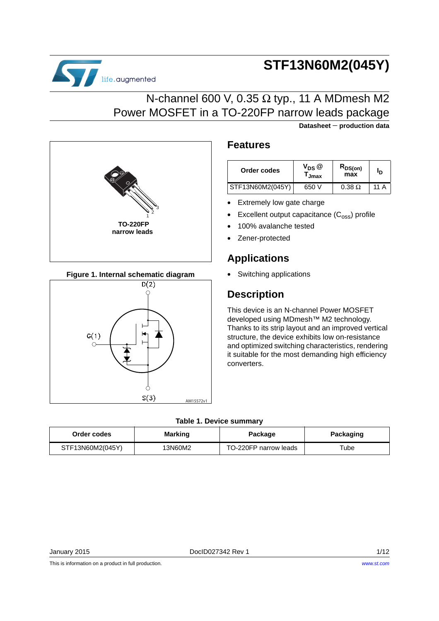

**Datasheet** − **production data**





life.augmented

## **Figure 1. Internal schematic diagram**



## **Features**

| Order codes      | $V_{DS}$ $@$<br><sup>I</sup> Jmax | $R_{DS(on)}$<br>max | ıр          |
|------------------|-----------------------------------|---------------------|-------------|
| STF13N60M2(045Y) | 650 V                             | $0.38 \Omega$       | 11 $\Delta$ |

- **Extremely low gate charge**
- Excellent output capacitance  $(C_{\text{oss}})$  profile
- 100% avalanche tested
- Zener-protected

## **Applications**

• Switching applications

## **Description**

This device is an N-channel Power MOSFET developed using MDmesh™ M2 technology. Thanks to its strip layout and an improved vertical structure, the device exhibits low on-resistance and optimized switching characteristics, rendering it suitable for the most demanding high efficiency converters.

### **Table 1. Device summary**

| Order codes      | <b>Marking</b> | Package               | Packaging |
|------------------|----------------|-----------------------|-----------|
| STF13N60M2(045Y) | 13N60M2        | TO-220FP narrow leads | ™ube      |

This is information on a product in full production.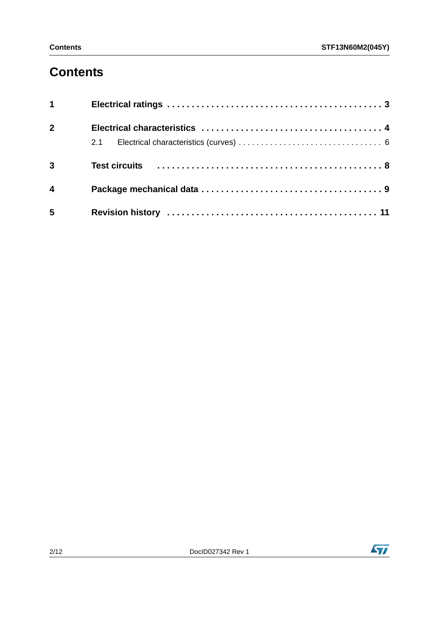# **Contents**

| $1 \quad \blacksquare$  |  |
|-------------------------|--|
| $\overline{2}$          |  |
|                         |  |
| $\overline{3}$          |  |
| $\overline{\mathbf{4}}$ |  |
| 5                       |  |

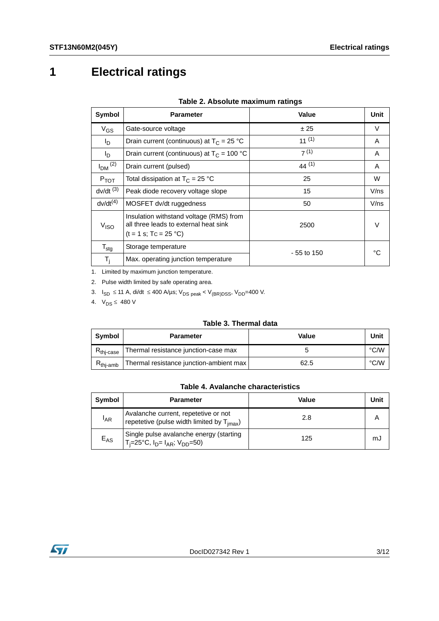# <span id="page-2-0"></span>**1 Electrical ratings**

| Symbol                  | <b>Parameter</b>                                                                                            | Value        | Unit    |
|-------------------------|-------------------------------------------------------------------------------------------------------------|--------------|---------|
| $V_{GS}$                | Gate-source voltage                                                                                         | ± 25         | V       |
| $I_D$                   | Drain current (continuous) at $T_c = 25 °C$                                                                 | $11^{(1)}$   | A       |
| l <sub>D</sub>          | Drain current (continuous) at $T_c = 100 °C$                                                                | 7(1)         | A       |
| $I_{DM}$ <sup>(2)</sup> | Drain current (pulsed)                                                                                      | $44^{(1)}$   | A       |
| $P_{TOT}$               | Total dissipation at $T_C = 25 °C$                                                                          | 25           | W       |
| $dv/dt$ <sup>(3)</sup>  | Peak diode recovery voltage slope                                                                           | 15           | $V$ /ns |
| $dv/dt^{(4)}$           | MOSFET dv/dt ruggedness                                                                                     | 50           | $V$ /ns |
| V <sub>ISO</sub>        | Insulation withstand voltage (RMS) from<br>all three leads to external heat sink<br>$(t = 1 s; TC = 25 °C)$ | 2500         | $\vee$  |
| $T_{\text{stg}}$        | Storage temperature                                                                                         | $-55$ to 150 | ∘∩      |
| $T_i$                   | Max. operating junction temperature                                                                         |              |         |

### **Table 2. Absolute maximum ratings**

1. Limited by maximum junction temperature.

2. Pulse width limited by safe operating area.

3.  $I_{SD}$  ≤ 11 A, di/dt ≤ 400 A/µs; V<sub>DS peak</sub> < V<sub>(BR)DSS</sub>, V<sub>DD</sub>=400 V.

4.  $V_{DS} \leq 480 V$ 

#### **Table 3. Thermal data**

| Svmbol                | <b>Parameter</b>                        | Value | Unit |
|-----------------------|-----------------------------------------|-------|------|
| $R_{\text{thi-case}}$ | Thermal resistance junction-case max    |       | °C/W |
| $R_{\text{thi-amb}}$  | Thermal resistance junction-ambient max | 62.5  | °C/W |

## **Table 4. Avalanche characteristics**

| Symbol          | <b>Parameter</b>                                                                                | Value | Unit |
|-----------------|-------------------------------------------------------------------------------------------------|-------|------|
| <sup>I</sup> AR | Avalanche current, repetetive or not<br>repetetive (pulse width limited by T <sub>imax</sub> )  | 2.8   |      |
| $E_{AS}$        | Single pulse avalanche energy (starting<br>$T_i=25^{\circ}C$ , $I_{D} = I_{AR}$ ; $V_{DD}=50$ ) | 125   | mJ   |

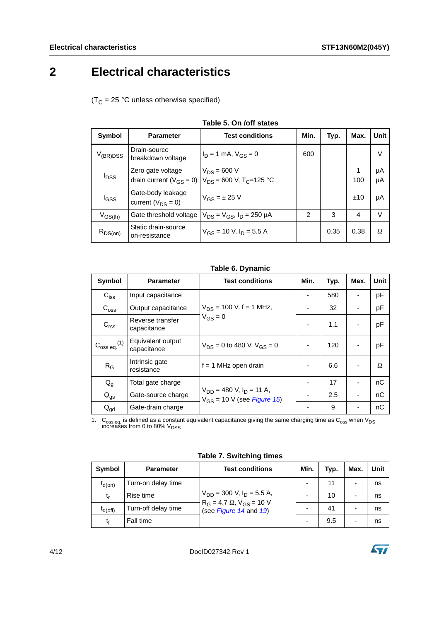# <span id="page-3-0"></span>**2 Electrical characteristics**

 $(T_C = 25 °C$  unless otherwise specified)

| Symbol                          | <b>Parameter</b>                              | <b>Test conditions</b>                                                                      | Min.           | Typ. | Max. | <b>Unit</b> |
|---------------------------------|-----------------------------------------------|---------------------------------------------------------------------------------------------|----------------|------|------|-------------|
| $V_{(\mathsf{BR})\mathsf{DSS}}$ | Drain-source<br>breakdown voltage             | $I_D = 1$ mA, $V_{GS} = 0$                                                                  | 600            |      |      | V           |
| $I_{DSS}$                       | Zero gate voltage                             | $V_{DS}$ = 600 V<br>drain current ( $V_{GS} = 0$ ) $V_{DS} = 600$ V, T <sub>C</sub> =125 °C |                |      | 100  | μA<br>μA    |
| l <sub>GSS</sub>                | Gate-body leakage<br>current ( $V_{DS} = 0$ ) | $V_{GS} = \pm 25$ V                                                                         |                |      | ±10  | μA          |
| $V_{GS(th)}$                    | Gate threshold voltage                        | $V_{DS} = V_{GS}$ , $I_D = 250 \mu A$                                                       | $\mathfrak{p}$ | 3    | 4    | V           |
| $R_{DS(on)}$                    | Static drain-source<br>on-resistance          | $V_{GS}$ = 10 V, $I_D$ = 5.5 A                                                              |                | 0.35 | 0.38 | Ω           |

|  | Table 5. On /off states |  |
|--|-------------------------|--|
|--|-------------------------|--|

### **Table 6. Dynamic**

| Symbol                       | <b>Parameter</b>                 | <b>Test conditions</b>                                             | Min. | Typ. | Max. | <b>Unit</b> |
|------------------------------|----------------------------------|--------------------------------------------------------------------|------|------|------|-------------|
| $C_{\text{iss}}$             | Input capacitance                |                                                                    |      | 580  |      | pF          |
| $C_{\text{oss}}$             | Output capacitance               | $V_{DS}$ = 100 V, f = 1 MHz,                                       |      | 32   |      | рF          |
| C <sub>rss</sub>             | Reverse transfer<br>capacitance  | $V_{GS} = 0$                                                       |      | 1.1  |      | pF          |
| $C_{\rm oss\ eq.}^{\rm (1)}$ | Equivalent output<br>capacitance | $V_{DS} = 0$ to 480 V, $V_{GS} = 0$                                |      | 120  |      | pF          |
| $R_G$                        | Intrinsic gate<br>resistance     | $f = 1$ MHz open drain                                             |      | 6.6  |      | Ω           |
| $Q_{q}$                      | Total gate charge                |                                                                    |      | 17   |      | nC          |
| $Q_{gs}$                     | Gate-source charge               | $V_{DD}$ = 480 V, $I_D$ = 11 A,<br>$V_{GS}$ = 10 V (see Figure 15) |      | 2.5  |      | nC          |
| $Q_{gd}$                     | Gate-drain charge                |                                                                    |      | 9    |      | nС          |

1.  $\rm{C_{oss}}$  eq. is defined as a constant equivalent capacitance giving the same charging time as  $\rm{C_{oss}}$  when V<sub>DS</sub> increases from 0 to 80% V<sub>DSS</sub>

**Table 7. Switching times**

| Symbol       | <b>Parameter</b>    | <b>Test conditions</b>                                         | Min. | Typ. | Max. | Unit |
|--------------|---------------------|----------------------------------------------------------------|------|------|------|------|
| $t_{d(on)}$  | Turn-on delay time  |                                                                |      | 11   |      | ns   |
| t,           | Rise time           | $V_{DD}$ = 300 V, $I_D$ = 5.5 A,                               |      | 10   | -    | ns   |
| $I_{d(off)}$ | Turn-off delay time | $R_G = 4.7 \Omega$ , $V_{GS} = 10 V$<br>(see Figure 14 and 19) |      | 41   | -    | ns   |
| tr           | Fall time           |                                                                |      | 9.5  | -    | ns   |

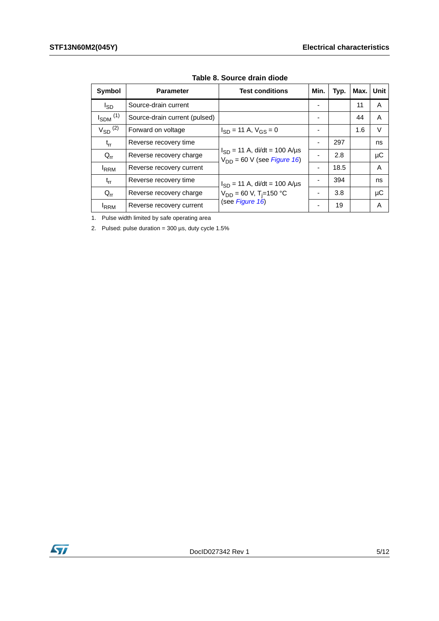| Symbol                   | <b>Parameter</b>              | <b>Test conditions</b>                                                       | Min. | Typ. | Max. | Unit |
|--------------------------|-------------------------------|------------------------------------------------------------------------------|------|------|------|------|
| <sub>sD</sub>            | Source-drain current          |                                                                              |      |      | 11   | A    |
| $I_{SDM}$ <sup>(1)</sup> | Source-drain current (pulsed) |                                                                              |      |      | 44   | A    |
| $V_{SD}$ <sup>(2)</sup>  | Forward on voltage            | $I_{SD}$ = 11 A, $V_{GS}$ = 0                                                |      |      | 1.6  | V    |
| $t_{rr}$                 | Reverse recovery time         |                                                                              |      | 297  |      | ns   |
| $Q_{rr}$                 | Reverse recovery charge       | $I_{SD}$ = 11 A, di/dt = 100 A/µs<br>$V_{DD}$ = 60 V (see <i>Figure 16</i> ) |      | 2.8  |      | μC   |
| <b>IRRM</b>              | Reverse recovery current      |                                                                              |      | 18.5 |      | A    |
| $t_{rr}$                 | Reverse recovery time         | $I_{SD}$ = 11 A, di/dt = 100 A/µs                                            |      | 394  |      | ns   |
| $Q_{rr}$                 | Reverse recovery charge       | $V_{DD}$ = 60 V, T <sub>i</sub> =150 °C                                      |      | 3.8  |      | μC   |
| <b>IRRM</b>              | Reverse recovery current      | (see Figure 16)                                                              |      | 19   |      | A    |

**Table 8. Source drain diode**

1. Pulse width limited by safe operating area

2. Pulsed: pulse duration =  $300 \,\mu s$ , duty cycle  $1.5\%$ 

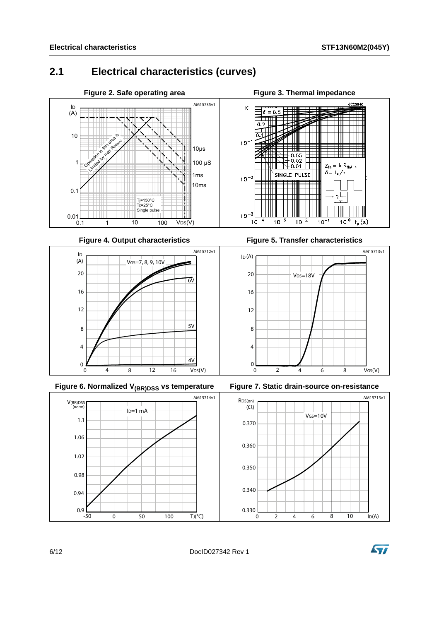## <span id="page-5-0"></span>**2.1 Electrical characteristics (curves)**



**Figure 4. Output characteristics** 





**Figure 5. Transfer characteristics** 







6/12 DocID027342 Rev 1

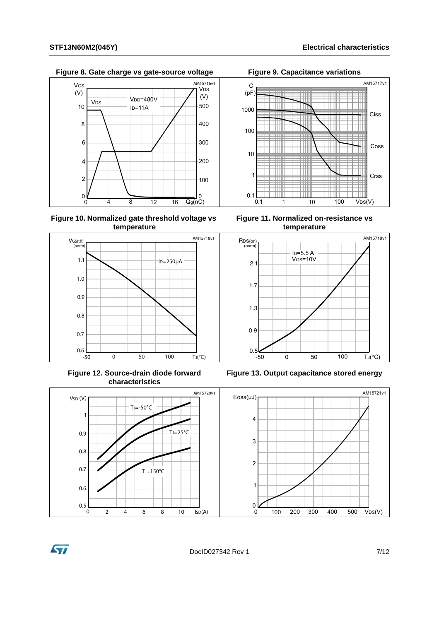Figure 8. Gate charge vs gate-source voltage Figure 9. Capacitance variations



**Figure 10. Normalized gate threshold voltage vs temperature**



**Figure 12. Source-drain diode forward characteristics**





**Figure 11. Normalized on-resistance vs temperature**



**Figure 13. Output capacitance stored energy**



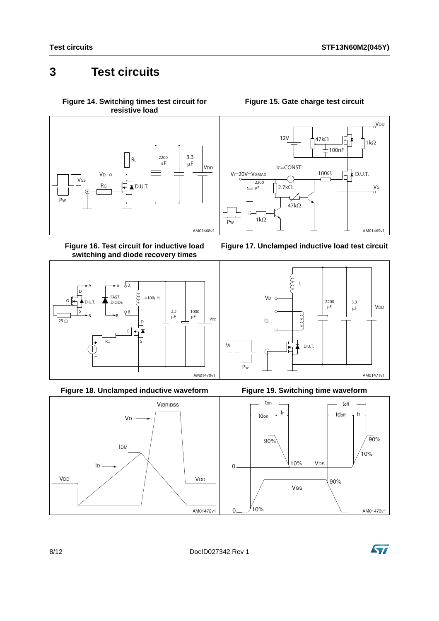## <span id="page-7-0"></span>**3 Test circuits**

<span id="page-7-2"></span>**Figure 14. Switching times test circuit for resistive load**



<span id="page-7-4"></span>**Figure 16. Test circuit for inductive load switching and diode recovery times**



**Figure 18. Unclamped inductive waveform Figure 19. Switching time waveform**



## **Figure 15. Gate charge test circuit**

<span id="page-7-1"></span>







<span id="page-7-3"></span>

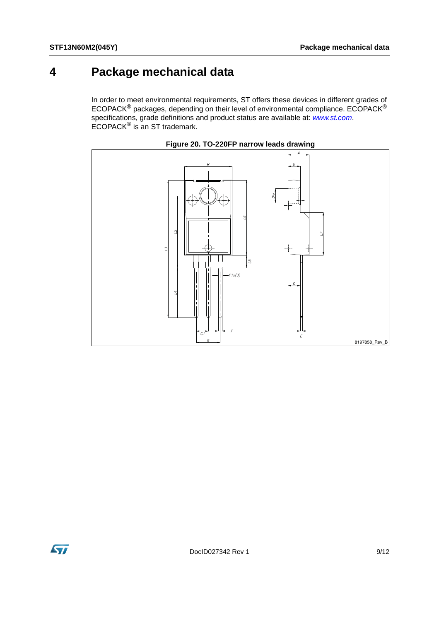## <span id="page-8-0"></span>**4 Package mechanical data**

In order to meet environmental requirements, ST offers these devices in different grades of ECOPACK $^{\circledR}$  packages, depending on their level of environmental compliance. ECOPACK $^{\circledR}$ specifications, grade definitions and product status are available at: *[www.st.com](http://www.st.com)*. ECOPACK® is an ST trademark.





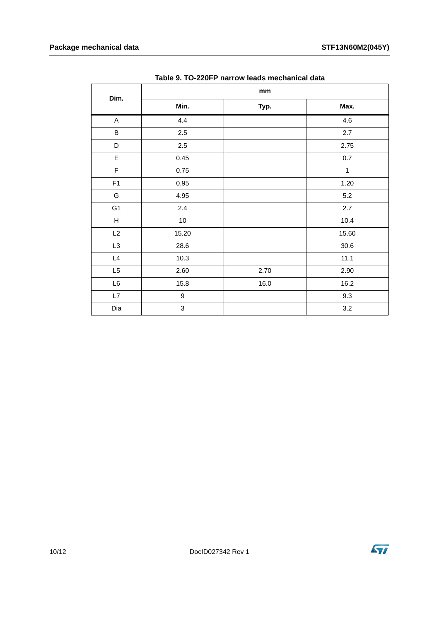|                |                           | mm   |              |  |  |  |
|----------------|---------------------------|------|--------------|--|--|--|
| Dim.           | Min.                      | Typ. | Max.         |  |  |  |
| $\mathsf{A}$   | 4.4                       |      | 4.6          |  |  |  |
| $\sf B$        | $2.5\,$                   |      | 2.7          |  |  |  |
| D              | 2.5                       |      | 2.75         |  |  |  |
| $\mathsf E$    | 0.45                      |      | $0.7\,$      |  |  |  |
| $\mathsf F$    | 0.75                      |      | $\mathbf{1}$ |  |  |  |
| F1             | 0.95                      |      | 1.20         |  |  |  |
| G              | 4.95                      |      | 5.2          |  |  |  |
| G <sub>1</sub> | $2.4\,$                   |      | 2.7          |  |  |  |
| $\mathsf{H}$   | 10                        |      | 10.4         |  |  |  |
| L2             | 15.20                     |      | 15.60        |  |  |  |
| L <sub>3</sub> | 28.6                      |      | 30.6         |  |  |  |
| L4             | 10.3                      |      | 11.1         |  |  |  |
| L5             | 2.60                      | 2.70 | 2.90         |  |  |  |
| L6             | 15.8                      | 16.0 | 16.2         |  |  |  |
| L7             | $\boldsymbol{9}$          |      | 9.3          |  |  |  |
| Dia            | $\ensuremath{\mathsf{3}}$ |      | 3.2          |  |  |  |

**Table 9. TO-220FP narrow leads mechanical data**

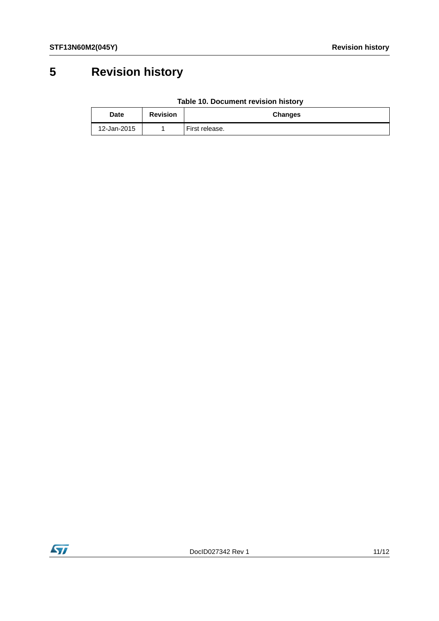# <span id="page-10-0"></span>**5 Revision history**

| Table 10. Document revision history |  |
|-------------------------------------|--|
|-------------------------------------|--|

| Date        | <b>Revision</b> | Changes        |
|-------------|-----------------|----------------|
| 12-Jan-2015 |                 | First release. |